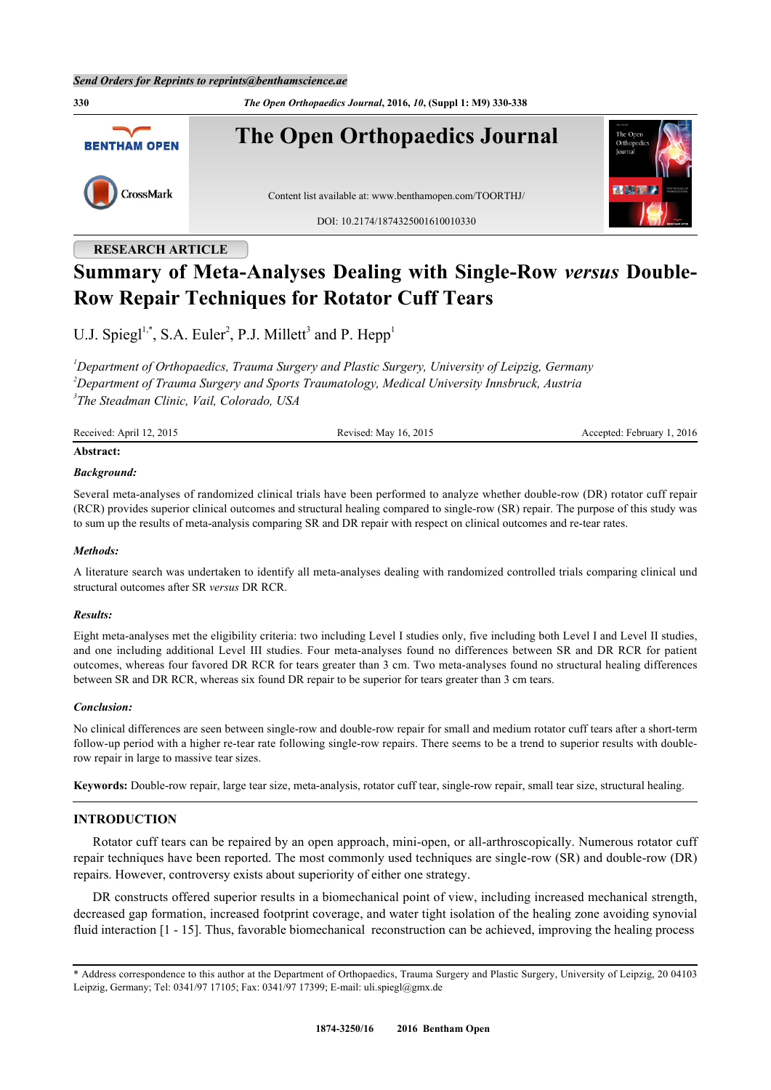**330** *The Open Orthopaedics Journal***, 2016,** *10***, (Suppl 1: M9) 330-338 The Open Orthopaedics Journal BENTHAM OPEN** CrossMark Content list available at: [www.benthamopen.com/TOORTHJ/](http://www.benthamopen.com/TOORTHJ/) DOI: [10.2174/1874325001610010330](http://dx.doi.org/10.2174/1874325001610010330)

## **RESEARCH ARTICLE**

# **Summary of Meta-Analyses Dealing with Single-Row** *versus* **Double-Row Repair Techniques for Rotator Cuff Tears**

U.J. Spiegl<sup>[1,](#page-0-0)[\\*](#page-0-1)</sup>, S.A. Euler<sup>[2](#page-0-2)</sup>, P.J. Millett<sup>[3](#page-0-3)</sup> and P. Hepp<sup>[1](#page-0-0)</sup>

<span id="page-0-3"></span><span id="page-0-2"></span><span id="page-0-0"></span>*<sup>1</sup>Department of Orthopaedics, Trauma Surgery and Plastic Surgery, University of Leipzig, Germany <sup>2</sup>Department of Trauma Surgery and Sports Traumatology, Medical University Innsbruck, Austria 3 The Steadman Clinic, Vail, Colorado, USA*

Received: April 12, 2015 Revised: May 16, 2015 Revised: May 16, 2015 Accepted: February 1, 2016

## **Abstract:**

## *Background:*

Several meta-analyses of randomized clinical trials have been performed to analyze whether double-row (DR) rotator cuff repair (RCR) provides superior clinical outcomes and structural healing compared to single-row (SR) repair. The purpose of this study was to sum up the results of meta-analysis comparing SR and DR repair with respect on clinical outcomes and re-tear rates.

#### *Methods:*

A literature search was undertaken to identify all meta-analyses dealing with randomized controlled trials comparing clinical und structural outcomes after SR *versus* DR RCR.

#### *Results:*

Eight meta-analyses met the eligibility criteria: two including Level I studies only, five including both Level I and Level II studies, and one including additional Level III studies. Four meta-analyses found no differences between SR and DR RCR for patient outcomes, whereas four favored DR RCR for tears greater than 3 cm. Two meta-analyses found no structural healing differences between SR and DR RCR, whereas six found DR repair to be superior for tears greater than 3 cm tears.

#### *Conclusion:*

No clinical differences are seen between single-row and double-row repair for small and medium rotator cuff tears after a short-term follow-up period with a higher re-tear rate following single-row repairs. There seems to be a trend to superior results with doublerow repair in large to massive tear sizes.

**Keywords:** Double-row repair, large tear size, meta-analysis, rotator cuff tear, single-row repair, small tear size, structural healing.

#### **INTRODUCTION**

Rotator cuff tears can be repaired by an open approach, mini-open, or all-arthroscopically. Numerous rotator cuff repair techniques have been reported. The most commonly used techniques are single-row (SR) and double-row (DR) repairs. However, controversy exists about superiority of either one strategy.

DR constructs offered superior results in a biomechanical point of view, including increased mechanical strength, decreased gap formation, increased footprint coverage, and water tight isolation of the healing zone avoiding synovial fluid interaction [[1](#page-5-0) - [15](#page-6-0)]. Thus, favorable biomechanical reconstruction can be achieved, improving the healing process

<span id="page-0-1"></span><sup>\*</sup> Address correspondence to this author at the Department of Orthopaedics, Trauma Surgery and Plastic Surgery, University of Leipzig, 20 04103 Leipzig, Germany; Tel: 0341/97 17105; Fax: 0341/97 17399; E-mail: [uli.spiegl@gmx.de](mailto:uli.spiegl@gmx.de)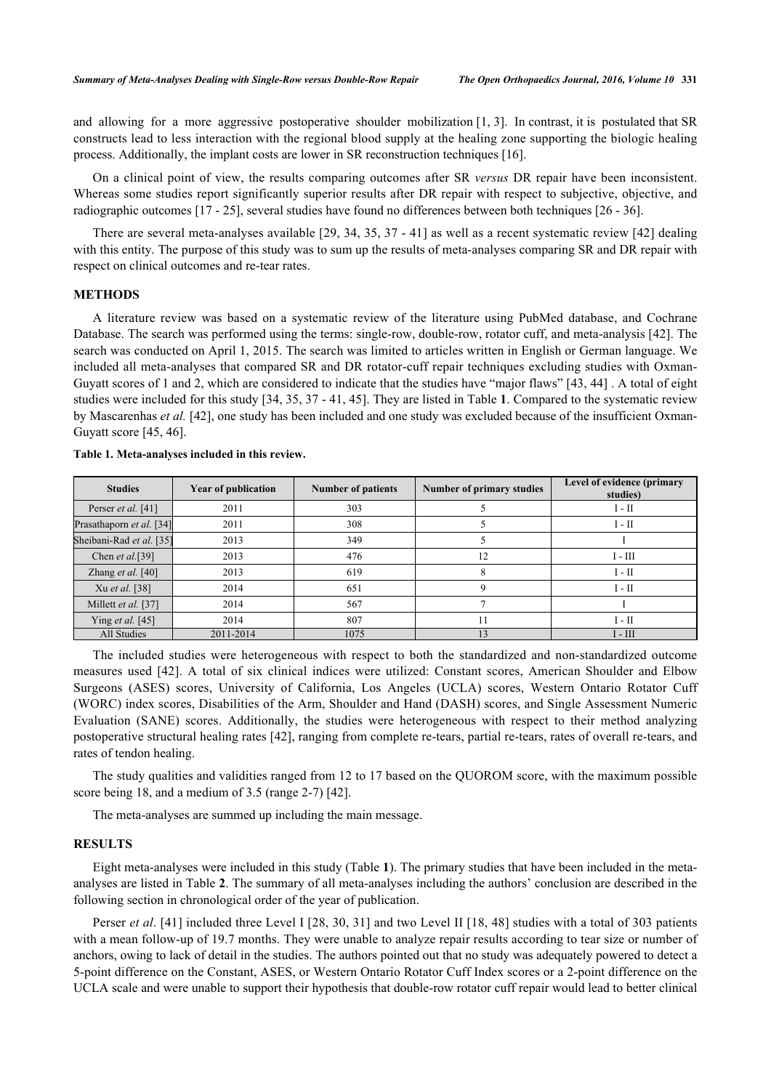and allowing for a more aggressive postoperative shoulder mobilization  $[1, 3]$  $[1, 3]$  $[1, 3]$  $[1, 3]$ . In contrast, it is postulated that SR constructs lead to less interaction with the regional blood supply at the healing zone supporting the biologic healing process. Additionally, the implant costs are lower in SR reconstruction techniques [[16\]](#page-6-2).

On a clinical point of view, the results comparing outcomes after SR *versus* DR repair have been inconsistent. Whereas some studies report significantly superior results after DR repair with respect to subjective, objective, and radiographic outcomes [[17](#page-6-3) - [25](#page-7-0)], several studies have found no differences between both techniques [[26](#page-7-1) - [36](#page-7-2)].

There are several meta-analyses available [[29](#page-7-3), [34,](#page-7-4) [35,](#page-7-5) [37](#page-7-6) - [41\]](#page-7-7) as well as a recent systematic review [[42](#page-8-0)] dealing with this entity. The purpose of this study was to sum up the results of meta-analyses comparing SR and DR repair with respect on clinical outcomes and re-tear rates.

#### **METHODS**

A literature review was based on a systematic review of the literature using PubMed database, and Cochrane Database. The search was performed using the terms: single-row, double-row, rotator cuff, and meta-analysis [\[42](#page-8-0)]. The search was conducted on April 1, 2015. The search was limited to articles written in English or German language. We included all meta-analyses that compared SR and DR rotator-cuff repair techniques excluding studies with Oxman-Guyatt scores of 1 and 2, which are considered to indicate that the studies have "major flaws" [[43,](#page-8-1) [44](#page-8-2)] . A total of eight studies were included for this study [[34,](#page-7-4) [35,](#page-7-5) [37](#page-7-6) - [41,](#page-7-7) [45\]](#page-8-3). They are listed in Table **[1](#page-1-0)**. Compared to the systematic review by Mascarenhas *et al.* [[42\]](#page-8-0), one study has been included and one study was excluded because of the insufficient Oxman-Guyatt score [\[45](#page-8-3), [46](#page-8-4)].

| <b>Studies</b>             | <b>Year of publication</b> | <b>Number of patients</b> | Number of primary studies | Level of evidence (primary<br>studies) |
|----------------------------|----------------------------|---------------------------|---------------------------|----------------------------------------|
| Perser et al. [41]         | 2011                       | 303                       |                           | $I - II$                               |
| Prasathaporn et al. [34]   | 2011                       | 308                       |                           | $I - II$                               |
| Sheibani-Rad et al. [35]   | 2013                       | 349                       |                           |                                        |
| Chen et al. [39]           | 2013                       | 476                       | 12                        | $I - III$                              |
| Zhang <i>et al.</i> $[40]$ | 2013                       | 619                       |                           | $I - II$                               |
| Xu et al. [38]             | 2014                       | 651                       |                           | $I - II$                               |
| Millett et al. [37]        | 2014                       | 567                       |                           |                                        |
| Ying <i>et al.</i> [45]    | 2014                       | 807                       |                           | $I - II$                               |
| All Studies                | 2011-2014                  | 1075                      |                           | $I - III$                              |

<span id="page-1-0"></span>**Table 1. Meta-analyses included in this review.**

The included studies were heterogeneous with respect to both the standardized and non-standardized outcome measures used[[42](#page-8-0)]. A total of six clinical indices were utilized: Constant scores, American Shoulder and Elbow Surgeons (ASES) scores, University of California, Los Angeles (UCLA) scores, Western Ontario Rotator Cuff (WORC) index scores, Disabilities of the Arm, Shoulder and Hand (DASH) scores, and Single Assessment Numeric Evaluation (SANE) scores. Additionally, the studies were heterogeneous with respect to their method analyzing postoperative structural healing rates [[42\]](#page-8-0), ranging from complete re-tears, partial re-tears, rates of overall re-tears, and rates of tendon healing.

The study qualities and validities ranged from 12 to 17 based on the QUOROM score, with the maximum possible score being 18, and a medium of 3.5 (range 2-7) [[42\]](#page-8-0).

The meta-analyses are summed up including the main message.

### **RESULTS**

Eight meta-analyses were included in this study (Table **[1](#page-1-0)**). The primary studies that have been included in the metaanalyses are listed in Table **[2](#page-2-0)**. The summary of all meta-analyses including the authors' conclusion are described in the following section in chronological order of the year of publication.

Perser *et al.* [\[41\]](#page-7-7) included three Level I [\[28](#page-7-11), [30](#page-7-12), [31\]](#page-7-13) and two Level II [[18](#page-6-4), [48\]](#page-8-5) studies with a total of 303 patients with a mean follow-up of 19.7 months. They were unable to analyze repair results according to tear size or number of anchors, owing to lack of detail in the studies. The authors pointed out that no study was adequately powered to detect a 5-point difference on the Constant, ASES, or Western Ontario Rotator Cuff Index scores or a 2-point difference on the UCLA scale and were unable to support their hypothesis that double-row rotator cuff repair would lead to better clinical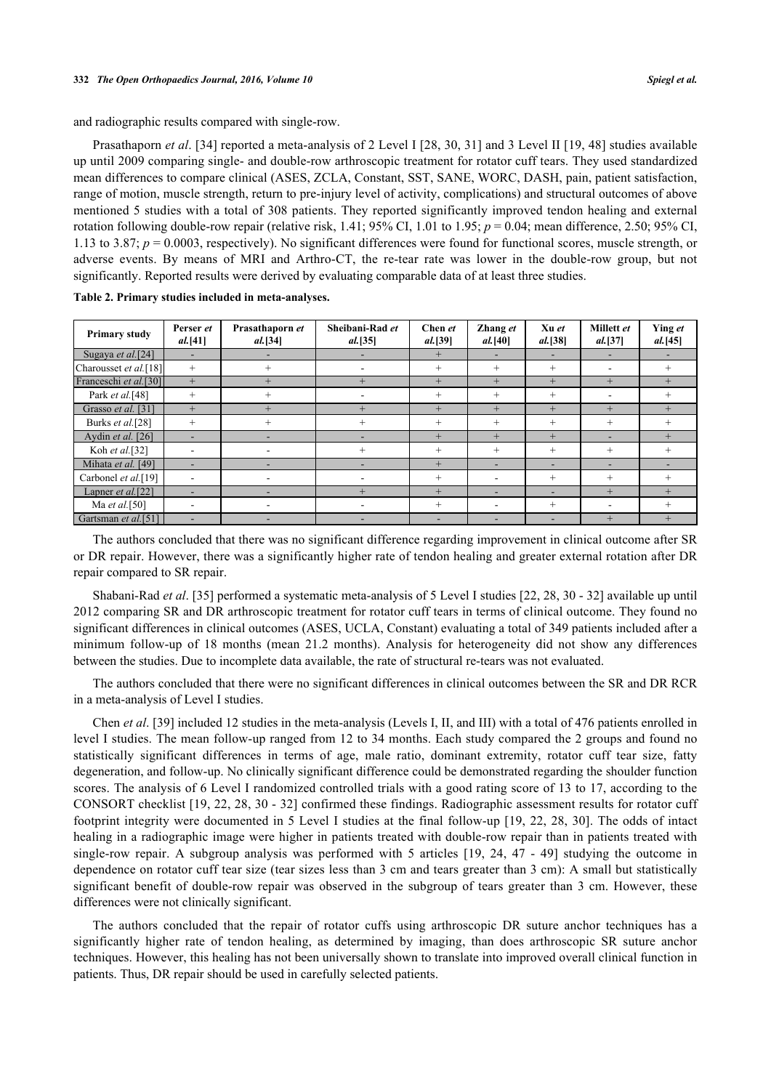and radiographic results compared with single-row.

Prasathaporn *et al*. [\[34](#page-7-4)] reported a meta-analysis of 2 Level I [[28,](#page-7-11) [30](#page-7-12), [31\]](#page-7-13) and 3 Level II [[19](#page-6-5), [48\]](#page-8-5) studies available up until 2009 comparing single- and double-row arthroscopic treatment for rotator cuff tears. They used standardized mean differences to compare clinical (ASES, ZCLA, Constant, SST, SANE, WORC, DASH, pain, patient satisfaction, range of motion, muscle strength, return to pre-injury level of activity, complications) and structural outcomes of above mentioned 5 studies with a total of 308 patients. They reported significantly improved tendon healing and external rotation following double-row repair (relative risk,  $1.41$ ; 95% CI,  $1.01$  to  $1.95$ ;  $p = 0.04$ ; mean difference, 2.50; 95% CI, 1.13 to 3.87; *p* = 0.0003, respectively). No significant differences were found for functional scores, muscle strength, or adverse events. By means of MRI and Arthro-CT, the re-tear rate was lower in the double-row group, but not significantly. Reported results were derived by evaluating comparable data of at least three studies.

| <b>Primary study</b>            | Perser et<br>al. [41]    | Prasathaporn et<br>al. [34] | Sheibani-Rad et<br>al. [35] | Chen et<br><i>al.</i> [39] | Zhang et<br><i>al.</i> [40] | Xu et<br>al. [38]        | Millett et<br><i>al.</i> [37] | Ying et<br>al. [45] |
|---------------------------------|--------------------------|-----------------------------|-----------------------------|----------------------------|-----------------------------|--------------------------|-------------------------------|---------------------|
| Sugaya et al.[24]               | $\overline{\phantom{0}}$ |                             |                             | $+$                        | ۰.                          |                          | ۰.                            |                     |
| Charousset et al.[18]           | $^{+}$                   | $^{+}$                      |                             | $^{+}$                     | $^{+}$                      | $^{+}$                   | -                             | $^{+}$              |
| Franceschi et al.[30]           | $+$                      | $+$                         | $+$                         | $+$                        | $+$                         | $+$                      | $+$                           | $+$                 |
| Park et al.[48]                 | $^{+}$                   | $^{+}$                      |                             | $^{+}$                     | $^{+}$                      | $^{+}$                   | -                             | $^{+}$              |
| Grasso et al. [31]              | $+$                      | $+$                         | $+$                         | $+$                        | $+$                         | $+$                      | $+$                           | $+$                 |
| Burks et al.[28]                | $^{+}$                   | $^{+}$                      | $^{+}$                      | $^{+}$                     | $^{+}$                      | $^{+}$                   | $^{+}$                        | $^{+}$              |
| Aydin et al. [26]               |                          |                             |                             | $^{+}$                     | $+$                         | $+$                      |                               | $+$                 |
| Koh et al.[32]                  |                          |                             |                             | $^{+}$                     | $^{+}$                      | $^{+}$                   | $^{+}$                        | $^{+}$              |
| Mihata et al. [49]              | $\overline{\phantom{0}}$ |                             | -                           | $+$                        | $\overline{\phantom{0}}$    | $\overline{\phantom{a}}$ |                               |                     |
| Carbonel et al.[19]             | $\overline{\phantom{a}}$ |                             |                             | $^{+}$                     |                             | $^{+}$                   | $^{+}$                        | $^{+}$              |
| Lapner et al.[22]               |                          |                             |                             | $+$                        |                             | -                        | $+$                           | $+$                 |
| Ma et al. $[50]$                |                          |                             |                             | $^{+}$                     |                             | $^{+}$                   |                               | $^{+}$              |
| Gartsman et al. <sup>[51]</sup> | -                        | -                           |                             |                            |                             |                          | $+$                           | $+$                 |

<span id="page-2-0"></span>**Table 2. Primary studies included in meta-analyses.**

The authors concluded that there was no significant difference regarding improvement in clinical outcome after SR or DR repair. However, there was a significantly higher rate of tendon healing and greater external rotation after DR repair compared to SR repair.

Shabani-Rad *et al*. [[35\]](#page-7-5) performed a systematic meta-analysis of 5 Level I studies [[22,](#page-7-16) [28,](#page-7-11) [30](#page-7-12) - [32](#page-7-15)] available up until 2012 comparing SR and DR arthroscopic treatment for rotator cuff tears in terms of clinical outcome. They found no significant differences in clinical outcomes (ASES, UCLA, Constant) evaluating a total of 349 patients included after a minimum follow-up of 18 months (mean 21.2 months). Analysis for heterogeneity did not show any differences between the studies. Due to incomplete data available, the rate of structural re-tears was not evaluated.

The authors concluded that there were no significant differences in clinical outcomes between the SR and DR RCR in a meta-analysis of Level I studies.

Chen *et al*. [\[39](#page-7-8)] included 12 studies in the meta-analysis (Levels I, II, and III) with a total of 476 patients enrolled in level I studies. The mean follow-up ranged from 12 to 34 months. Each study compared the 2 groups and found no statistically significant differences in terms of age, male ratio, dominant extremity, rotator cuff tear size, fatty degeneration, and follow-up. No clinically significant difference could be demonstrated regarding the shoulder function scores. The analysis of 6 Level I randomized controlled trials with a good rating score of 13 to 17, according to the CONSORT checklist [[19,](#page-6-5) [22,](#page-7-16) [28](#page-7-11), [30](#page-7-12) - [32\]](#page-7-15) confirmed these findings. Radiographic assessment results for rotator cuff footprint integrity were documented in 5 Level I studies at the final follow-up [\[19](#page-6-5), [22,](#page-7-16) [28,](#page-7-11) [30](#page-7-12)]. The odds of intact healing in a radiographic image were higher in patients treated with double-row repair than in patients treated with single-row repair. A subgroup analysis was performed with 5 articles[[19,](#page-6-5) [24,](#page-7-14) [47](#page-8-9) - [49\]](#page-8-6) studying the outcome in dependence on rotator cuff tear size (tear sizes less than 3 cm and tears greater than 3 cm): A small but statistically significant benefit of double-row repair was observed in the subgroup of tears greater than 3 cm. However, these differences were not clinically significant.

The authors concluded that the repair of rotator cuffs using arthroscopic DR suture anchor techniques has a significantly higher rate of tendon healing, as determined by imaging, than does arthroscopic SR suture anchor techniques. However, this healing has not been universally shown to translate into improved overall clinical function in patients. Thus, DR repair should be used in carefully selected patients.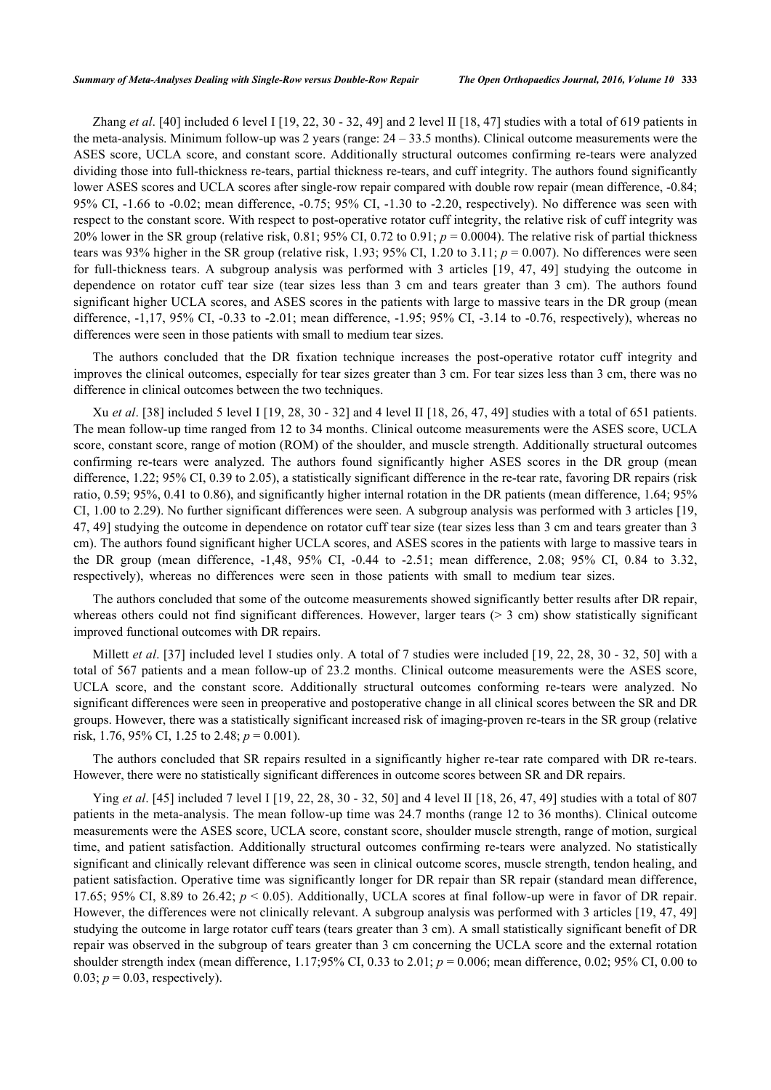Zhang *et al*. [\[40](#page-7-9)] included 6 level I [[19,](#page-6-5) [22,](#page-7-16) [30](#page-7-12) - [32,](#page-7-15) [49\]](#page-8-6) and 2 level II [\[18](#page-6-4), [47\]](#page-8-9) studies with a total of 619 patients in the meta-analysis. Minimum follow-up was 2 years (range: 24 – 33.5 months). Clinical outcome measurements were the ASES score, UCLA score, and constant score. Additionally structural outcomes confirming re-tears were analyzed dividing those into full-thickness re-tears, partial thickness re-tears, and cuff integrity. The authors found significantly lower ASES scores and UCLA scores after single-row repair compared with double row repair (mean difference, -0.84; 95% CI, -1.66 to -0.02; mean difference, -0.75; 95% CI, -1.30 to -2.20, respectively). No difference was seen with respect to the constant score. With respect to post-operative rotator cuff integrity, the relative risk of cuff integrity was 20% lower in the SR group (relative risk, 0.81; 95% CI, 0.72 to 0.91; *p* = 0.0004). The relative risk of partial thickness tears was 93% higher in the SR group (relative risk, 1.93; 95% CI, 1.20 to 3.11; *p* = 0.007). No differences were seen for full-thickness tears. A subgroup analysis was performed with 3 articles [\[19](#page-6-5), [47](#page-8-9), [49](#page-8-6)] studying the outcome in dependence on rotator cuff tear size (tear sizes less than 3 cm and tears greater than 3 cm). The authors found significant higher UCLA scores, and ASES scores in the patients with large to massive tears in the DR group (mean difference, -1,17, 95% CI, -0.33 to -2.01; mean difference, -1.95; 95% CI, -3.14 to -0.76, respectively), whereas no differences were seen in those patients with small to medium tear sizes.

The authors concluded that the DR fixation technique increases the post-operative rotator cuff integrity and improves the clinical outcomes, especially for tear sizes greater than 3 cm. For tear sizes less than 3 cm, there was no difference in clinical outcomes between the two techniques.

Xu *et al*. [\[38](#page-7-10)] included 5 level I [[19](#page-6-5), [28](#page-7-11), [30](#page-7-12) - [32\]](#page-7-15) and 4 level II [\[18](#page-6-4), [26,](#page-7-1) [47](#page-8-9), [49\]](#page-8-6) studies with a total of 651 patients. The mean follow-up time ranged from 12 to 34 months. Clinical outcome measurements were the ASES score, UCLA score, constant score, range of motion (ROM) of the shoulder, and muscle strength. Additionally structural outcomes confirming re-tears were analyzed. The authors found significantly higher ASES scores in the DR group (mean difference, 1.22; 95% CI, 0.39 to 2.05), a statistically significant difference in the re-tear rate, favoring DR repairs (risk ratio, 0.59; 95%, 0.41 to 0.86), and significantly higher internal rotation in the DR patients (mean difference, 1.64; 95% CI, 1.00 to 2.29). No further significant differences were seen. A subgroup analysis was performed with 3 articles [[19](#page-6-5), [47,](#page-8-9) [49](#page-8-6)] studying the outcome in dependence on rotator cuff tear size (tear sizes less than 3 cm and tears greater than 3 cm). The authors found significant higher UCLA scores, and ASES scores in the patients with large to massive tears in the DR group (mean difference, -1,48, 95% CI, -0.44 to -2.51; mean difference, 2.08; 95% CI, 0.84 to 3.32, respectively), whereas no differences were seen in those patients with small to medium tear sizes.

The authors concluded that some of the outcome measurements showed significantly better results after DR repair, whereas others could not find significant differences. However, larger tears  $(> 3 \text{ cm})$  show statistically significant improved functional outcomes with DR repairs.

Millett *et al.* [[37\]](#page-7-6) included level I studies only. A total of 7 studies were included [[19,](#page-6-5) [22](#page-7-16), [28](#page-7-11), [30](#page-7-12) - [32](#page-7-15), [50\]](#page-8-7) with a total of 567 patients and a mean follow-up of 23.2 months. Clinical outcome measurements were the ASES score, UCLA score, and the constant score. Additionally structural outcomes conforming re-tears were analyzed. No significant differences were seen in preoperative and postoperative change in all clinical scores between the SR and DR groups. However, there was a statistically significant increased risk of imaging-proven re-tears in the SR group (relative risk, 1.76, 95% CI, 1.25 to 2.48; *p* = 0.001).

The authors concluded that SR repairs resulted in a significantly higher re-tear rate compared with DR re-tears. However, there were no statistically significant differences in outcome scores between SR and DR repairs.

Ying *et al*. [\[45](#page-8-3)] included 7 level I [\[19](#page-6-5), [22,](#page-7-16) [28](#page-7-11), [30](#page-7-12) - [32](#page-7-15), [50\]](#page-8-7) and 4 level II [[18,](#page-6-4) [26](#page-7-1), [47,](#page-8-9) [49\]](#page-8-6) studies with a total of 807 patients in the meta-analysis. The mean follow-up time was 24.7 months (range 12 to 36 months). Clinical outcome measurements were the ASES score, UCLA score, constant score, shoulder muscle strength, range of motion, surgical time, and patient satisfaction. Additionally structural outcomes confirming re-tears were analyzed. No statistically significant and clinically relevant difference was seen in clinical outcome scores, muscle strength, tendon healing, and patient satisfaction. Operative time was significantly longer for DR repair than SR repair (standard mean difference, 17.65; 95% CI, 8.89 to 26.42;  $p < 0.05$ ). Additionally, UCLA scores at final follow-up were in favor of DR repair. However, the differences were not clinically relevant. A subgroup analysis was performed with 3 articles [[19](#page-6-5), [47,](#page-8-9) [49](#page-8-6)] studying the outcome in large rotator cuff tears (tears greater than 3 cm). A small statistically significant benefit of DR repair was observed in the subgroup of tears greater than 3 cm concerning the UCLA score and the external rotation shoulder strength index (mean difference, 1.17;95% CI, 0.33 to 2.01; *p* = 0.006; mean difference, 0.02; 95% CI, 0.00 to 0.03;  $p = 0.03$ , respectively).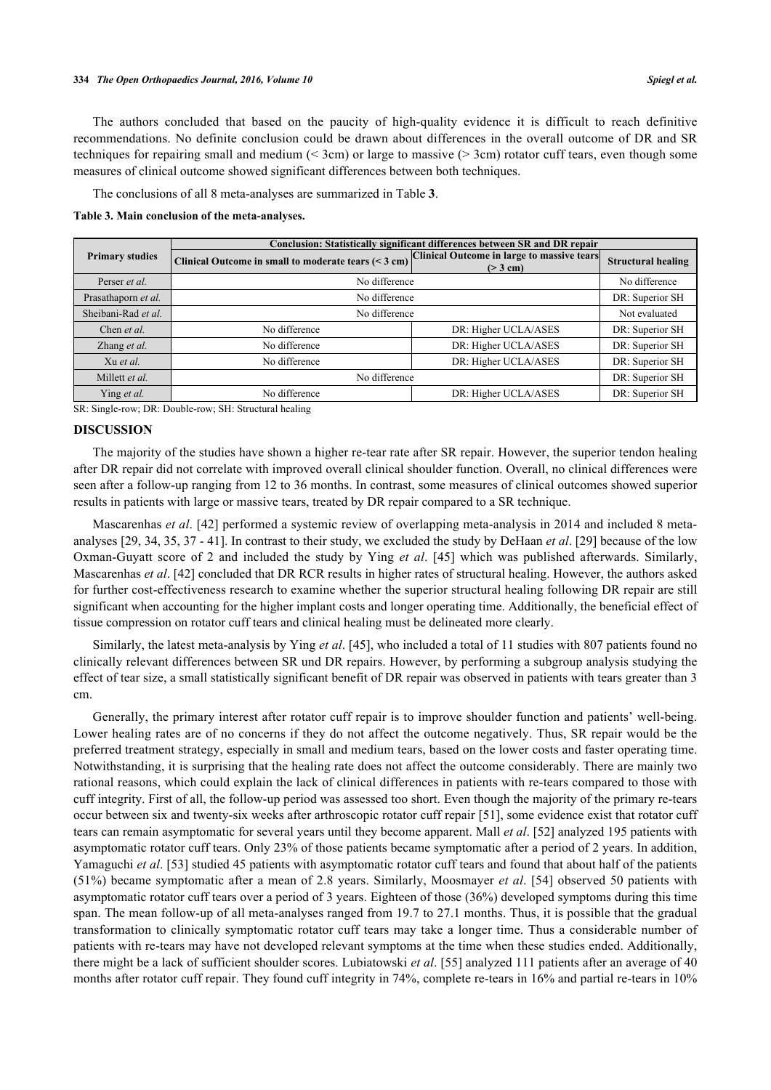The authors concluded that based on the paucity of high-quality evidence it is difficult to reach definitive recommendations. No definite conclusion could be drawn about differences in the overall outcome of DR and SR techniques for repairing small and medium (< 3cm) or large to massive (> 3cm) rotator cuff tears, even though some measures of clinical outcome showed significant differences between both techniques.

The conclusions of all 8 meta-analyses are summarized in Table **[3](#page-4-0)**.

<span id="page-4-0"></span>**Table 3. Main conclusion of the meta-analyses.**

|                        | Conclusion: Statistically significant differences between SR and DR repair |                                                        |                           |  |  |
|------------------------|----------------------------------------------------------------------------|--------------------------------------------------------|---------------------------|--|--|
| <b>Primary studies</b> | Clinical Outcome in small to moderate tears (< 3 cm)                       | Clinical Outcome in large to massive tears<br>(> 3 cm) | <b>Structural healing</b> |  |  |
| Perser et al.          | No difference                                                              |                                                        | No difference             |  |  |
| Prasathaporn et al.    | No difference                                                              | DR: Superior SH                                        |                           |  |  |
| Sheibani-Rad et al.    | No difference                                                              | Not evaluated                                          |                           |  |  |
| Chen et al.            | No difference                                                              | DR: Higher UCLA/ASES                                   | DR: Superior SH           |  |  |
| Zhang et al.           | No difference                                                              | DR: Higher UCLA/ASES                                   | DR: Superior SH           |  |  |
| Xu et al.              | No difference                                                              | DR: Higher UCLA/ASES                                   | DR: Superior SH           |  |  |
| Millett et al.         | No difference                                                              |                                                        | DR: Superior SH           |  |  |
| Ying et al.            | No difference                                                              | DR: Higher UCLA/ASES                                   | DR: Superior SH           |  |  |

SR: Single-row; DR: Double-row; SH: Structural healing

#### **DISCUSSION**

The majority of the studies have shown a higher re-tear rate after SR repair. However, the superior tendon healing after DR repair did not correlate with improved overall clinical shoulder function. Overall, no clinical differences were seen after a follow-up ranging from 12 to 36 months. In contrast, some measures of clinical outcomes showed superior results in patients with large or massive tears, treated by DR repair compared to a SR technique.

Mascarenhas *et al*. [\[42\]](#page-8-0) performed a systemic review of overlapping meta-analysis in 2014 and included 8 metaanalyses [[29,](#page-7-3) [34,](#page-7-4) [35,](#page-7-5) [37](#page-7-6) - [41](#page-7-7)]. In contrast to their study, we excluded the study by DeHaan *et al*. [[29\]](#page-7-3) because of the low Oxman-Guyatt score of 2 and included the study by Ying *et al*.[[45](#page-8-3)] which was published afterwards. Similarly, Mascarenhas *et al*. [\[42](#page-8-0)] concluded that DR RCR results in higher rates of structural healing. However, the authors asked for further cost-effectiveness research to examine whether the superior structural healing following DR repair are still significant when accounting for the higher implant costs and longer operating time. Additionally, the beneficial effect of tissue compression on rotator cuff tears and clinical healing must be delineated more clearly.

Similarly, the latest meta-analysis by Ying *et al*. [[45\]](#page-8-3), who included a total of 11 studies with 807 patients found no clinically relevant differences between SR und DR repairs. However, by performing a subgroup analysis studying the effect of tear size, a small statistically significant benefit of DR repair was observed in patients with tears greater than 3 cm.

Generally, the primary interest after rotator cuff repair is to improve shoulder function and patients' well-being. Lower healing rates are of no concerns if they do not affect the outcome negatively. Thus, SR repair would be the preferred treatment strategy, especially in small and medium tears, based on the lower costs and faster operating time. Notwithstanding, it is surprising that the healing rate does not affect the outcome considerably. There are mainly two rational reasons, which could explain the lack of clinical differences in patients with re-tears compared to those with cuff integrity. First of all, the follow-up period was assessed too short. Even though the majority of the primary re-tears occur between six and twenty-six weeks after arthroscopic rotator cuff repair [[51](#page-8-8)], some evidence exist that rotator cuff tears can remain asymptomatic for several years until they become apparent. Mall *et al*. [\[52](#page-8-10)] analyzed 195 patients with asymptomatic rotator cuff tears. Only 23% of those patients became symptomatic after a period of 2 years. In addition, Yamaguchi *et al*. [\[53](#page-8-11)] studied 45 patients with asymptomatic rotator cuff tears and found that about half of the patients (51%) became symptomatic after a mean of 2.8 years. Similarly, Moosmayer *et al*. [[54\]](#page-8-12) observed 50 patients with asymptomatic rotator cuff tears over a period of 3 years. Eighteen of those (36%) developed symptoms during this time span. The mean follow-up of all meta-analyses ranged from 19.7 to 27.1 months. Thus, it is possible that the gradual transformation to clinically symptomatic rotator cuff tears may take a longer time. Thus a considerable number of patients with re-tears may have not developed relevant symptoms at the time when these studies ended. Additionally, there might be a lack of sufficient shoulder scores. Lubiatowski *et al*. [[55\]](#page-8-13) analyzed 111 patients after an average of 40 months after rotator cuff repair. They found cuff integrity in 74%, complete re-tears in 16% and partial re-tears in 10%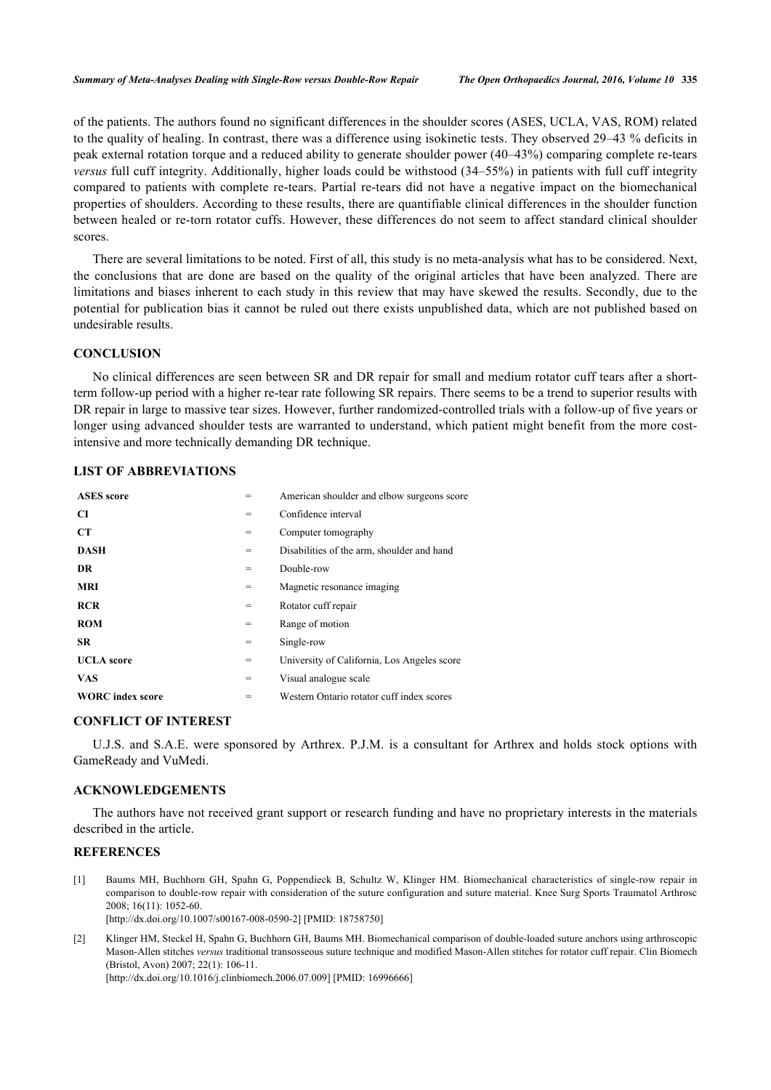of the patients. The authors found no significant differences in the shoulder scores (ASES, UCLA, VAS, ROM) related to the quality of healing. In contrast, there was a difference using isokinetic tests. They observed 29–43 % deficits in peak external rotation torque and a reduced ability to generate shoulder power (40–43%) comparing complete re-tears *versus* full cuff integrity. Additionally, higher loads could be withstood (34–55%) in patients with full cuff integrity compared to patients with complete re-tears. Partial re-tears did not have a negative impact on the biomechanical properties of shoulders. According to these results, there are quantifiable clinical differences in the shoulder function between healed or re-torn rotator cuffs. However, these differences do not seem to affect standard clinical shoulder scores.

There are several limitations to be noted. First of all, this study is no meta-analysis what has to be considered. Next, the conclusions that are done are based on the quality of the original articles that have been analyzed. There are limitations and biases inherent to each study in this review that may have skewed the results. Secondly, due to the potential for publication bias it cannot be ruled out there exists unpublished data, which are not published based on undesirable results.

#### **CONCLUSION**

No clinical differences are seen between SR and DR repair for small and medium rotator cuff tears after a shortterm follow-up period with a higher re-tear rate following SR repairs. There seems to be a trend to superior results with DR repair in large to massive tear sizes. However, further randomized-controlled trials with a follow-up of five years or longer using advanced shoulder tests are warranted to understand, which patient might benefit from the more costintensive and more technically demanding DR technique.

#### **LIST OF ABBREVIATIONS**

| <b>ASES</b> score       | =   | American shoulder and elbow surgeons score  |
|-------------------------|-----|---------------------------------------------|
| <b>CI</b>               | =   | Confidence interval                         |
| <b>CT</b>               | =   | Computer tomography                         |
| <b>DASH</b>             | $=$ | Disabilities of the arm, shoulder and hand  |
| DR.                     | =   | Double-row                                  |
| <b>MRI</b>              | =   | Magnetic resonance imaging                  |
| RCR                     | $=$ | Rotator cuff repair                         |
| <b>ROM</b>              | =   | Range of motion                             |
| <b>SR</b>               | =   | Single-row                                  |
| <b>UCLA</b> score       | $=$ | University of California, Los Angeles score |
| <b>VAS</b>              | $=$ | Visual analogue scale                       |
| <b>WORC</b> index score | $=$ | Western Ontario rotator cuff index scores   |
|                         |     |                                             |

### **CONFLICT OF INTEREST**

U.J.S. and S.A.E. were sponsored by Arthrex. P.J.M. is a consultant for Arthrex and holds stock options with GameReady and VuMedi.

#### **ACKNOWLEDGEMENTS**

The authors have not received grant support or research funding and have no proprietary interests in the materials described in the article.

#### **REFERENCES**

- <span id="page-5-0"></span>[1] Baums MH, Buchhorn GH, Spahn G, Poppendieck B, Schultz W, Klinger HM. Biomechanical characteristics of single-row repair in comparison to double-row repair with consideration of the suture configuration and suture material. Knee Surg Sports Traumatol Arthrosc 2008; 16(11): 1052-60. [\[http://dx.doi.org/10.1007/s00167-008-0590-2\]](http://dx.doi.org/10.1007/s00167-008-0590-2) [PMID: [18758750](http://www.ncbi.nlm.nih.gov/pubmed/18758750)]
- [2] Klinger HM, Steckel H, Spahn G, Buchhorn GH, Baums MH. Biomechanical comparison of double-loaded suture anchors using arthroscopic Mason-Allen stitches *versus* traditional transosseous suture technique and modified Mason-Allen stitches for rotator cuff repair. Clin Biomech (Bristol, Avon) 2007; 22(1): 106-11.

[\[http://dx.doi.org/10.1016/j.clinbiomech.2006.07.009\]](http://dx.doi.org/10.1016/j.clinbiomech.2006.07.009) [PMID: [16996666](http://www.ncbi.nlm.nih.gov/pubmed/16996666)]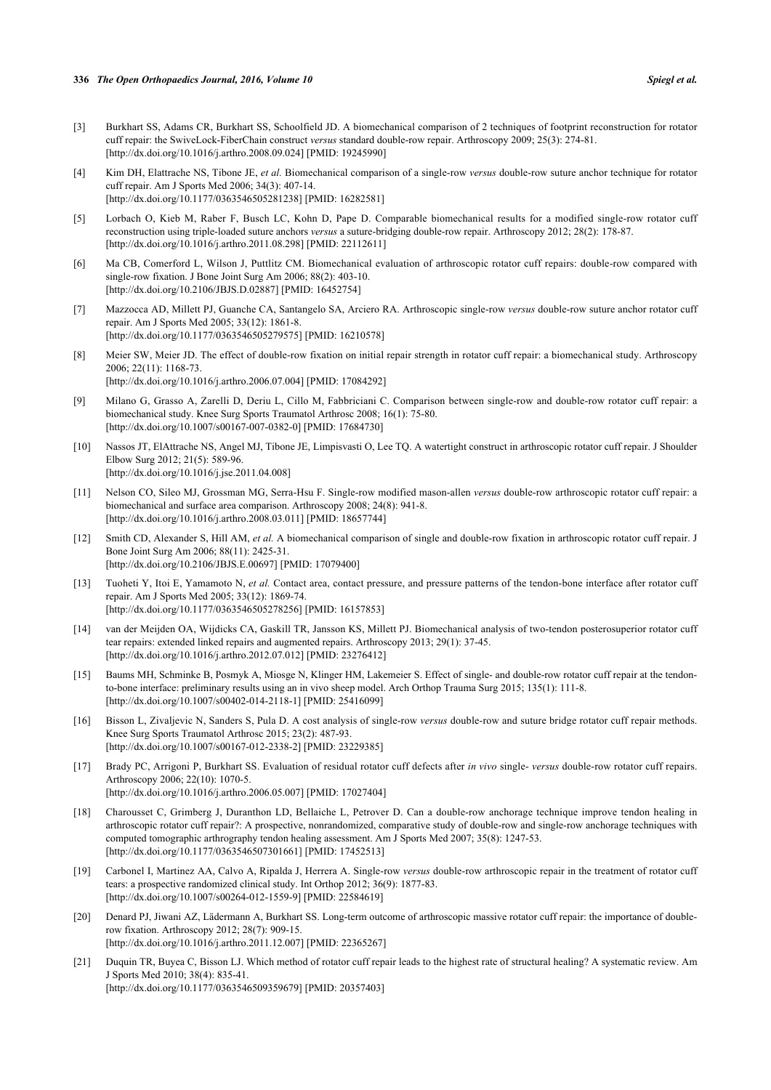#### **336** *The Open Orthopaedics Journal, 2016, Volume 10 Spiegl et al.*

- <span id="page-6-1"></span>[3] Burkhart SS, Adams CR, Burkhart SS, Schoolfield JD. A biomechanical comparison of 2 techniques of footprint reconstruction for rotator cuff repair: the SwiveLock-FiberChain construct *versus* standard double-row repair. Arthroscopy 2009; 25(3): 274-81. [\[http://dx.doi.org/10.1016/j.arthro.2008.09.024](http://dx.doi.org/10.1016/j.arthro.2008.09.024)] [PMID: [19245990\]](http://www.ncbi.nlm.nih.gov/pubmed/19245990)
- [4] Kim DH, Elattrache NS, Tibone JE, *et al.* Biomechanical comparison of a single-row *versus* double-row suture anchor technique for rotator cuff repair. Am J Sports Med 2006; 34(3): 407-14. [\[http://dx.doi.org/10.1177/0363546505281238\]](http://dx.doi.org/10.1177/0363546505281238) [PMID: [16282581](http://www.ncbi.nlm.nih.gov/pubmed/16282581)]
- [5] Lorbach O, Kieb M, Raber F, Busch LC, Kohn D, Pape D. Comparable biomechanical results for a modified single-row rotator cuff reconstruction using triple-loaded suture anchors *versus* a suture-bridging double-row repair. Arthroscopy 2012; 28(2): 178-87. [\[http://dx.doi.org/10.1016/j.arthro.2011.08.298](http://dx.doi.org/10.1016/j.arthro.2011.08.298)] [PMID: [22112611\]](http://www.ncbi.nlm.nih.gov/pubmed/22112611)
- [6] Ma CB, Comerford L, Wilson J, Puttlitz CM. Biomechanical evaluation of arthroscopic rotator cuff repairs: double-row compared with single-row fixation. J Bone Joint Surg Am 2006; 88(2): 403-10. [\[http://dx.doi.org/10.2106/JBJS.D.02887\]](http://dx.doi.org/10.2106/JBJS.D.02887) [PMID: [16452754](http://www.ncbi.nlm.nih.gov/pubmed/16452754)]
- [7] Mazzocca AD, Millett PJ, Guanche CA, Santangelo SA, Arciero RA. Arthroscopic single-row *versus* double-row suture anchor rotator cuff repair. Am J Sports Med 2005; 33(12): 1861-8. [\[http://dx.doi.org/10.1177/0363546505279575\]](http://dx.doi.org/10.1177/0363546505279575) [PMID: [16210578](http://www.ncbi.nlm.nih.gov/pubmed/16210578)]
- [8] Meier SW, Meier JD. The effect of double-row fixation on initial repair strength in rotator cuff repair: a biomechanical study. Arthroscopy 2006; 22(11): 1168-73. [\[http://dx.doi.org/10.1016/j.arthro.2006.07.004](http://dx.doi.org/10.1016/j.arthro.2006.07.004)] [PMID: [17084292\]](http://www.ncbi.nlm.nih.gov/pubmed/17084292)
- [9] Milano G, Grasso A, Zarelli D, Deriu L, Cillo M, Fabbriciani C. Comparison between single-row and double-row rotator cuff repair: a biomechanical study. Knee Surg Sports Traumatol Arthrosc 2008; 16(1): 75-80. [\[http://dx.doi.org/10.1007/s00167-007-0382-0\]](http://dx.doi.org/10.1007/s00167-007-0382-0) [PMID: [17684730](http://www.ncbi.nlm.nih.gov/pubmed/17684730)]
- [10] Nassos JT, ElAttrache NS, Angel MJ, Tibone JE, Limpisvasti O, Lee TQ. A watertight construct in arthroscopic rotator cuff repair. J Shoulder Elbow Surg 2012; 21(5): 589-96. [\[http://dx.doi.org/10.1016/j.jse.2011.04.008\]](http://dx.doi.org/10.1016/j.jse.2011.04.008)
- [11] Nelson CO, Sileo MJ, Grossman MG, Serra-Hsu F. Single-row modified mason-allen *versus* double-row arthroscopic rotator cuff repair: a biomechanical and surface area comparison. Arthroscopy 2008; 24(8): 941-8. [\[http://dx.doi.org/10.1016/j.arthro.2008.03.011](http://dx.doi.org/10.1016/j.arthro.2008.03.011)] [PMID: [18657744\]](http://www.ncbi.nlm.nih.gov/pubmed/18657744)
- [12] Smith CD, Alexander S, Hill AM, *et al.* A biomechanical comparison of single and double-row fixation in arthroscopic rotator cuff repair. J Bone Joint Surg Am 2006; 88(11): 2425-31. [\[http://dx.doi.org/10.2106/JBJS.E.00697\]](http://dx.doi.org/10.2106/JBJS.E.00697) [PMID: [17079400](http://www.ncbi.nlm.nih.gov/pubmed/17079400)]
- [13] Tuoheti Y, Itoi E, Yamamoto N, *et al.* Contact area, contact pressure, and pressure patterns of the tendon-bone interface after rotator cuff repair. Am J Sports Med 2005; 33(12): 1869-74. [\[http://dx.doi.org/10.1177/0363546505278256\]](http://dx.doi.org/10.1177/0363546505278256) [PMID: [16157853](http://www.ncbi.nlm.nih.gov/pubmed/16157853)]
- [14] van der Meijden OA, Wijdicks CA, Gaskill TR, Jansson KS, Millett PJ. Biomechanical analysis of two-tendon posterosuperior rotator cuff tear repairs: extended linked repairs and augmented repairs. Arthroscopy 2013; 29(1): 37-45. [\[http://dx.doi.org/10.1016/j.arthro.2012.07.012](http://dx.doi.org/10.1016/j.arthro.2012.07.012)] [PMID: [23276412\]](http://www.ncbi.nlm.nih.gov/pubmed/23276412)
- <span id="page-6-0"></span>[15] Baums MH, Schminke B, Posmyk A, Miosge N, Klinger HM, Lakemeier S. Effect of single- and double-row rotator cuff repair at the tendonto-bone interface: preliminary results using an in vivo sheep model. Arch Orthop Trauma Surg 2015; 135(1): 111-8. [\[http://dx.doi.org/10.1007/s00402-014-2118-1\]](http://dx.doi.org/10.1007/s00402-014-2118-1) [PMID: [25416099](http://www.ncbi.nlm.nih.gov/pubmed/25416099)]
- <span id="page-6-2"></span>[16] Bisson L, Zivaljevic N, Sanders S, Pula D. A cost analysis of single-row *versus* double-row and suture bridge rotator cuff repair methods. Knee Surg Sports Traumatol Arthrosc 2015; 23(2): 487-93. [\[http://dx.doi.org/10.1007/s00167-012-2338-2\]](http://dx.doi.org/10.1007/s00167-012-2338-2) [PMID: [23229385](http://www.ncbi.nlm.nih.gov/pubmed/23229385)]
- <span id="page-6-3"></span>[17] Brady PC, Arrigoni P, Burkhart SS. Evaluation of residual rotator cuff defects after *in vivo* single- *versus* double-row rotator cuff repairs. Arthroscopy 2006; 22(10): 1070-5. [\[http://dx.doi.org/10.1016/j.arthro.2006.05.007](http://dx.doi.org/10.1016/j.arthro.2006.05.007)] [PMID: [17027404\]](http://www.ncbi.nlm.nih.gov/pubmed/17027404)
- <span id="page-6-4"></span>[18] Charousset C, Grimberg J, Duranthon LD, Bellaiche L, Petrover D. Can a double-row anchorage technique improve tendon healing in arthroscopic rotator cuff repair?: A prospective, nonrandomized, comparative study of double-row and single-row anchorage techniques with computed tomographic arthrography tendon healing assessment. Am J Sports Med 2007; 35(8): 1247-53. [\[http://dx.doi.org/10.1177/0363546507301661\]](http://dx.doi.org/10.1177/0363546507301661) [PMID: [17452513](http://www.ncbi.nlm.nih.gov/pubmed/17452513)]
- <span id="page-6-5"></span>[19] Carbonel I, Martinez AA, Calvo A, Ripalda J, Herrera A. Single-row *versus* double-row arthroscopic repair in the treatment of rotator cuff tears: a prospective randomized clinical study. Int Orthop 2012; 36(9): 1877-83. [\[http://dx.doi.org/10.1007/s00264-012-1559-9\]](http://dx.doi.org/10.1007/s00264-012-1559-9) [PMID: [22584619](http://www.ncbi.nlm.nih.gov/pubmed/22584619)]
- [20] Denard PJ, Jiwani AZ, Lädermann A, Burkhart SS. Long-term outcome of arthroscopic massive rotator cuff repair: the importance of doublerow fixation. Arthroscopy 2012; 28(7): 909-15. [\[http://dx.doi.org/10.1016/j.arthro.2011.12.007](http://dx.doi.org/10.1016/j.arthro.2011.12.007)] [PMID: [22365267\]](http://www.ncbi.nlm.nih.gov/pubmed/22365267)
- [21] Duquin TR, Buyea C, Bisson LJ. Which method of rotator cuff repair leads to the highest rate of structural healing? A systematic review. Am J Sports Med 2010; 38(4): 835-41. [\[http://dx.doi.org/10.1177/0363546509359679\]](http://dx.doi.org/10.1177/0363546509359679) [PMID: [20357403](http://www.ncbi.nlm.nih.gov/pubmed/20357403)]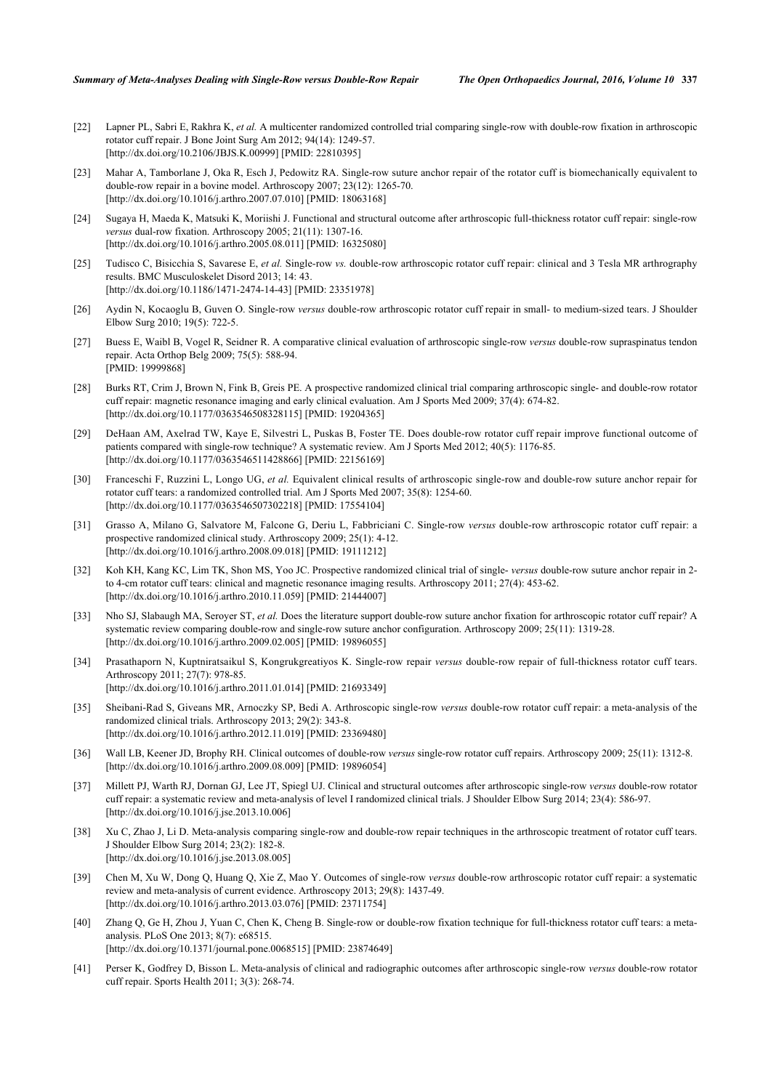- <span id="page-7-16"></span>[22] Lapner PL, Sabri E, Rakhra K, *et al.* A multicenter randomized controlled trial comparing single-row with double-row fixation in arthroscopic rotator cuff repair. J Bone Joint Surg Am 2012; 94(14): 1249-57. [\[http://dx.doi.org/10.2106/JBJS.K.00999\]](http://dx.doi.org/10.2106/JBJS.K.00999) [PMID: [22810395](http://www.ncbi.nlm.nih.gov/pubmed/22810395)]
- [23] Mahar A, Tamborlane J, Oka R, Esch J, Pedowitz RA. Single-row suture anchor repair of the rotator cuff is biomechanically equivalent to double-row repair in a bovine model. Arthroscopy 2007; 23(12): 1265-70. [\[http://dx.doi.org/10.1016/j.arthro.2007.07.010](http://dx.doi.org/10.1016/j.arthro.2007.07.010)] [PMID: [18063168\]](http://www.ncbi.nlm.nih.gov/pubmed/18063168)
- <span id="page-7-14"></span>[24] Sugaya H, Maeda K, Matsuki K, Moriishi J. Functional and structural outcome after arthroscopic full-thickness rotator cuff repair: single-row *versus* dual-row fixation. Arthroscopy 2005; 21(11): 1307-16. [\[http://dx.doi.org/10.1016/j.arthro.2005.08.011](http://dx.doi.org/10.1016/j.arthro.2005.08.011)] [PMID: [16325080\]](http://www.ncbi.nlm.nih.gov/pubmed/16325080)
- <span id="page-7-0"></span>[25] Tudisco C, Bisicchia S, Savarese E, *et al.* Single-row *vs.* double-row arthroscopic rotator cuff repair: clinical and 3 Tesla MR arthrography results. BMC Musculoskelet Disord 2013; 14: 43. [\[http://dx.doi.org/10.1186/1471-2474-14-43\]](http://dx.doi.org/10.1186/1471-2474-14-43) [PMID: [23351978](http://www.ncbi.nlm.nih.gov/pubmed/23351978)]
- <span id="page-7-1"></span>[26] Aydin N, Kocaoglu B, Guven O. Single-row *versus* double-row arthroscopic rotator cuff repair in small- to medium-sized tears. J Shoulder Elbow Surg 2010; 19(5): 722-5.
- [27] Buess E, Waibl B, Vogel R, Seidner R. A comparative clinical evaluation of arthroscopic single-row *versus* double-row supraspinatus tendon repair. Acta Orthop Belg 2009; 75(5): 588-94. [PMID: [19999868\]](http://www.ncbi.nlm.nih.gov/pubmed/19999868)
- <span id="page-7-11"></span>[28] Burks RT, Crim J, Brown N, Fink B, Greis PE. A prospective randomized clinical trial comparing arthroscopic single- and double-row rotator cuff repair: magnetic resonance imaging and early clinical evaluation. Am J Sports Med 2009; 37(4): 674-82. [\[http://dx.doi.org/10.1177/0363546508328115\]](http://dx.doi.org/10.1177/0363546508328115) [PMID: [19204365](http://www.ncbi.nlm.nih.gov/pubmed/19204365)]
- <span id="page-7-3"></span>[29] DeHaan AM, Axelrad TW, Kaye E, Silvestri L, Puskas B, Foster TE. Does double-row rotator cuff repair improve functional outcome of patients compared with single-row technique? A systematic review. Am J Sports Med 2012; 40(5): 1176-85. [\[http://dx.doi.org/10.1177/0363546511428866\]](http://dx.doi.org/10.1177/0363546511428866) [PMID: [22156169](http://www.ncbi.nlm.nih.gov/pubmed/22156169)]
- <span id="page-7-12"></span>[30] Franceschi F, Ruzzini L, Longo UG, *et al.* Equivalent clinical results of arthroscopic single-row and double-row suture anchor repair for rotator cuff tears: a randomized controlled trial. Am J Sports Med 2007; 35(8): 1254-60. [\[http://dx.doi.org/10.1177/0363546507302218\]](http://dx.doi.org/10.1177/0363546507302218) [PMID: [17554104](http://www.ncbi.nlm.nih.gov/pubmed/17554104)]
- <span id="page-7-13"></span>[31] Grasso A, Milano G, Salvatore M, Falcone G, Deriu L, Fabbriciani C. Single-row *versus* double-row arthroscopic rotator cuff repair: a prospective randomized clinical study. Arthroscopy 2009; 25(1): 4-12. [\[http://dx.doi.org/10.1016/j.arthro.2008.09.018](http://dx.doi.org/10.1016/j.arthro.2008.09.018)] [PMID: [19111212\]](http://www.ncbi.nlm.nih.gov/pubmed/19111212)
- <span id="page-7-15"></span>[32] Koh KH, Kang KC, Lim TK, Shon MS, Yoo JC. Prospective randomized clinical trial of single- *versus* double-row suture anchor repair in 2 to 4-cm rotator cuff tears: clinical and magnetic resonance imaging results. Arthroscopy 2011; 27(4): 453-62. [\[http://dx.doi.org/10.1016/j.arthro.2010.11.059](http://dx.doi.org/10.1016/j.arthro.2010.11.059)] [PMID: [21444007\]](http://www.ncbi.nlm.nih.gov/pubmed/21444007)
- [33] Nho SJ, Slabaugh MA, Seroyer ST, *et al.* Does the literature support double-row suture anchor fixation for arthroscopic rotator cuff repair? A systematic review comparing double-row and single-row suture anchor configuration. Arthroscopy 2009; 25(11): 1319-28. [\[http://dx.doi.org/10.1016/j.arthro.2009.02.005](http://dx.doi.org/10.1016/j.arthro.2009.02.005)] [PMID: [19896055\]](http://www.ncbi.nlm.nih.gov/pubmed/19896055)
- <span id="page-7-4"></span>[34] Prasathaporn N, Kuptniratsaikul S, Kongrukgreatiyos K. Single-row repair *versus* double-row repair of full-thickness rotator cuff tears. Arthroscopy 2011; 27(7): 978-85. [\[http://dx.doi.org/10.1016/j.arthro.2011.01.014](http://dx.doi.org/10.1016/j.arthro.2011.01.014)] [PMID: [21693349\]](http://www.ncbi.nlm.nih.gov/pubmed/21693349)
- <span id="page-7-5"></span>[35] Sheibani-Rad S, Giveans MR, Arnoczky SP, Bedi A. Arthroscopic single-row *versus* double-row rotator cuff repair: a meta-analysis of the randomized clinical trials. Arthroscopy 2013; 29(2): 343-8. [\[http://dx.doi.org/10.1016/j.arthro.2012.11.019](http://dx.doi.org/10.1016/j.arthro.2012.11.019)] [PMID: [23369480\]](http://www.ncbi.nlm.nih.gov/pubmed/23369480)
- <span id="page-7-2"></span>[36] Wall LB, Keener JD, Brophy RH. Clinical outcomes of double-row *versus* single-row rotator cuff repairs. Arthroscopy 2009; 25(11): 1312-8. [\[http://dx.doi.org/10.1016/j.arthro.2009.08.009](http://dx.doi.org/10.1016/j.arthro.2009.08.009)] [PMID: [19896054\]](http://www.ncbi.nlm.nih.gov/pubmed/19896054)
- <span id="page-7-6"></span>[37] Millett PJ, Warth RJ, Dornan GJ, Lee JT, Spiegl UJ. Clinical and structural outcomes after arthroscopic single-row *versus* double-row rotator cuff repair: a systematic review and meta-analysis of level I randomized clinical trials. J Shoulder Elbow Surg 2014; 23(4): 586-97. [\[http://dx.doi.org/10.1016/j.jse.2013.10.006\]](http://dx.doi.org/10.1016/j.jse.2013.10.006)
- <span id="page-7-10"></span>[38] Xu C, Zhao J, Li D. Meta-analysis comparing single-row and double-row repair techniques in the arthroscopic treatment of rotator cuff tears. J Shoulder Elbow Surg 2014; 23(2): 182-8. [\[http://dx.doi.org/10.1016/j.jse.2013.08.005\]](http://dx.doi.org/10.1016/j.jse.2013.08.005)
- <span id="page-7-8"></span>[39] Chen M, Xu W, Dong Q, Huang Q, Xie Z, Mao Y. Outcomes of single-row *versus* double-row arthroscopic rotator cuff repair: a systematic review and meta-analysis of current evidence. Arthroscopy 2013; 29(8): 1437-49. [\[http://dx.doi.org/10.1016/j.arthro.2013.03.076](http://dx.doi.org/10.1016/j.arthro.2013.03.076)] [PMID: [23711754\]](http://www.ncbi.nlm.nih.gov/pubmed/23711754)
- <span id="page-7-9"></span>[40] Zhang Q, Ge H, Zhou J, Yuan C, Chen K, Cheng B. Single-row or double-row fixation technique for full-thickness rotator cuff tears: a metaanalysis. PLoS One 2013; 8(7): e68515. [\[http://dx.doi.org/10.1371/journal.pone.0068515](http://dx.doi.org/10.1371/journal.pone.0068515)] [PMID: [23874649\]](http://www.ncbi.nlm.nih.gov/pubmed/23874649)
- <span id="page-7-7"></span>[41] Perser K, Godfrey D, Bisson L. Meta-analysis of clinical and radiographic outcomes after arthroscopic single-row *versus* double-row rotator cuff repair. Sports Health 2011; 3(3): 268-74.